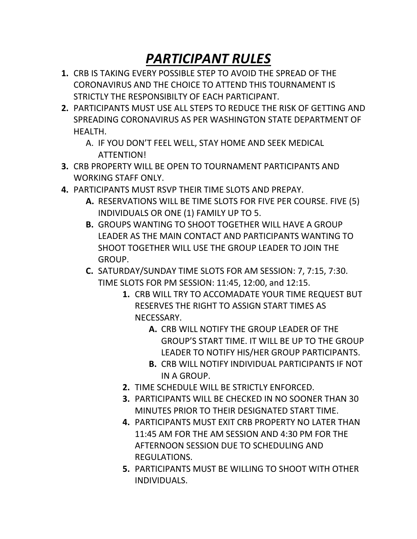## *PARTICIPANT RULES*

- **1.** CRB IS TAKING EVERY POSSIBLE STEP TO AVOID THE SPREAD OF THE CORONAVIRUS AND THE CHOICE TO ATTEND THIS TOURNAMENT IS STRICTLY THE RESPONSIBILTY OF EACH PARTICIPANT.
- **2.** PARTICIPANTS MUST USE ALL STEPS TO REDUCE THE RISK OF GETTING AND SPREADING CORONAVIRUS AS PER WASHINGTON STATE DEPARTMENT OF HEALTH.
	- A. IF YOU DON'T FEEL WELL, STAY HOME AND SEEK MEDICAL ATTENTION!
- **3.** CRB PROPERTY WILL BE OPEN TO TOURNAMENT PARTICIPANTS AND WORKING STAFF ONLY.
- **4.** PARTICIPANTS MUST RSVP THEIR TIME SLOTS AND PREPAY.
	- **A.** RESERVATIONS WILL BE TIME SLOTS FOR FIVE PER COURSE. FIVE (5) INDIVIDUALS OR ONE (1) FAMILY UP TO 5.
	- **B.** GROUPS WANTING TO SHOOT TOGETHER WILL HAVE A GROUP LEADER AS THE MAIN CONTACT AND PARTICIPANTS WANTING TO SHOOT TOGETHER WILL USE THE GROUP LEADER TO JOIN THE GROUP.
	- **C.** SATURDAY/SUNDAY TIME SLOTS FOR AM SESSION: 7, 7:15, 7:30. TIME SLOTS FOR PM SESSION: 11:45, 12:00, and 12:15.
		- **1.** CRB WILL TRY TO ACCOMADATE YOUR TIME REQUEST BUT RESERVES THE RIGHT TO ASSIGN START TIMES AS NECESSARY.
			- **A.** CRB WILL NOTIFY THE GROUP LEADER OF THE GROUP'S START TIME. IT WILL BE UP TO THE GROUP LEADER TO NOTIFY HIS/HER GROUP PARTICIPANTS.
			- **B.** CRB WILL NOTIFY INDIVIDUAL PARTICIPANTS IF NOT IN A GROUP.
		- **2.** TIME SCHEDULE WILL BE STRICTLY ENFORCED.
		- **3.** PARTICIPANTS WILL BE CHECKED IN NO SOONER THAN 30 MINUTES PRIOR TO THEIR DESIGNATED START TIME.
		- **4.** PARTICIPANTS MUST EXIT CRB PROPERTY NO LATER THAN 11:45 AM FOR THE AM SESSION AND 4:30 PM FOR THE AFTERNOON SESSION DUE TO SCHEDULING AND REGULATIONS.
		- **5.** PARTICIPANTS MUST BE WILLING TO SHOOT WITH OTHER INDIVIDUALS.